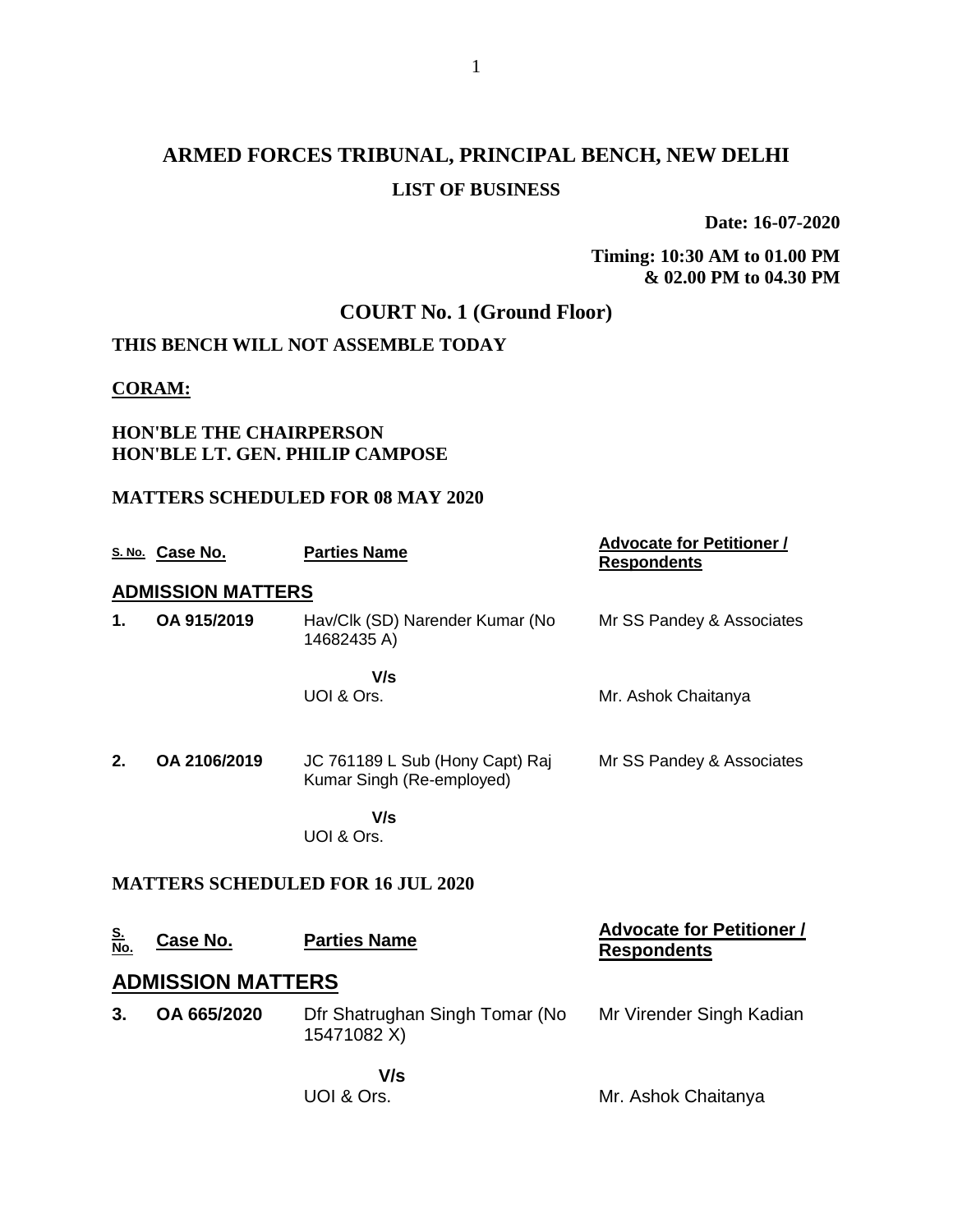# **ARMED FORCES TRIBUNAL, PRINCIPAL BENCH, NEW DELHI LIST OF BUSINESS**

**Date: 16-07-2020**

**Timing: 10:30 AM to 01.00 PM & 02.00 PM to 04.30 PM**

# **COURT No. 1 (Ground Floor)**

## **THIS BENCH WILL NOT ASSEMBLE TODAY**

#### **CORAM:**

### **HON'BLE THE CHAIRPERSON HON'BLE LT. GEN. PHILIP CAMPOSE**

### **MATTERS SCHEDULED FOR 08 MAY 2020**

|                         | S. No. Case No.          | <b>Parties Name</b>                                          | <b>Advocate for Petitioner /</b><br><b>Respondents</b> |  |  |
|-------------------------|--------------------------|--------------------------------------------------------------|--------------------------------------------------------|--|--|
|                         | <b>ADMISSION MATTERS</b> |                                                              |                                                        |  |  |
| 1.                      | OA 915/2019              | Hav/Clk (SD) Narender Kumar (No<br>14682435 A)               | Mr SS Pandey & Associates                              |  |  |
|                         |                          | V/s<br>UOI & Ors.                                            | Mr. Ashok Chaitanya                                    |  |  |
| 2.                      | OA 2106/2019             | JC 761189 L Sub (Hony Capt) Raj<br>Kumar Singh (Re-employed) | Mr SS Pandey & Associates                              |  |  |
|                         |                          | V/s<br>UOI & Ors.                                            |                                                        |  |  |
|                         |                          | <b>MATTERS SCHEDULED FOR 16 JUL 2020</b>                     |                                                        |  |  |
| <u>S.</u><br><u>No.</u> | <u>Case No.</u>          | <b>Parties Name</b>                                          | <b>Advocate for Petitioner /</b><br><b>Respondents</b> |  |  |
|                         | <b>ADMISSION MATTERS</b> |                                                              |                                                        |  |  |
| 3.                      | OA 665/2020              | Dfr Shatrughan Singh Tomar (No<br>15471082 X)                | Mr Virender Singh Kadian                               |  |  |
|                         |                          | V/s<br>UOI & Ors.                                            | Mr. Ashok Chaitanya                                    |  |  |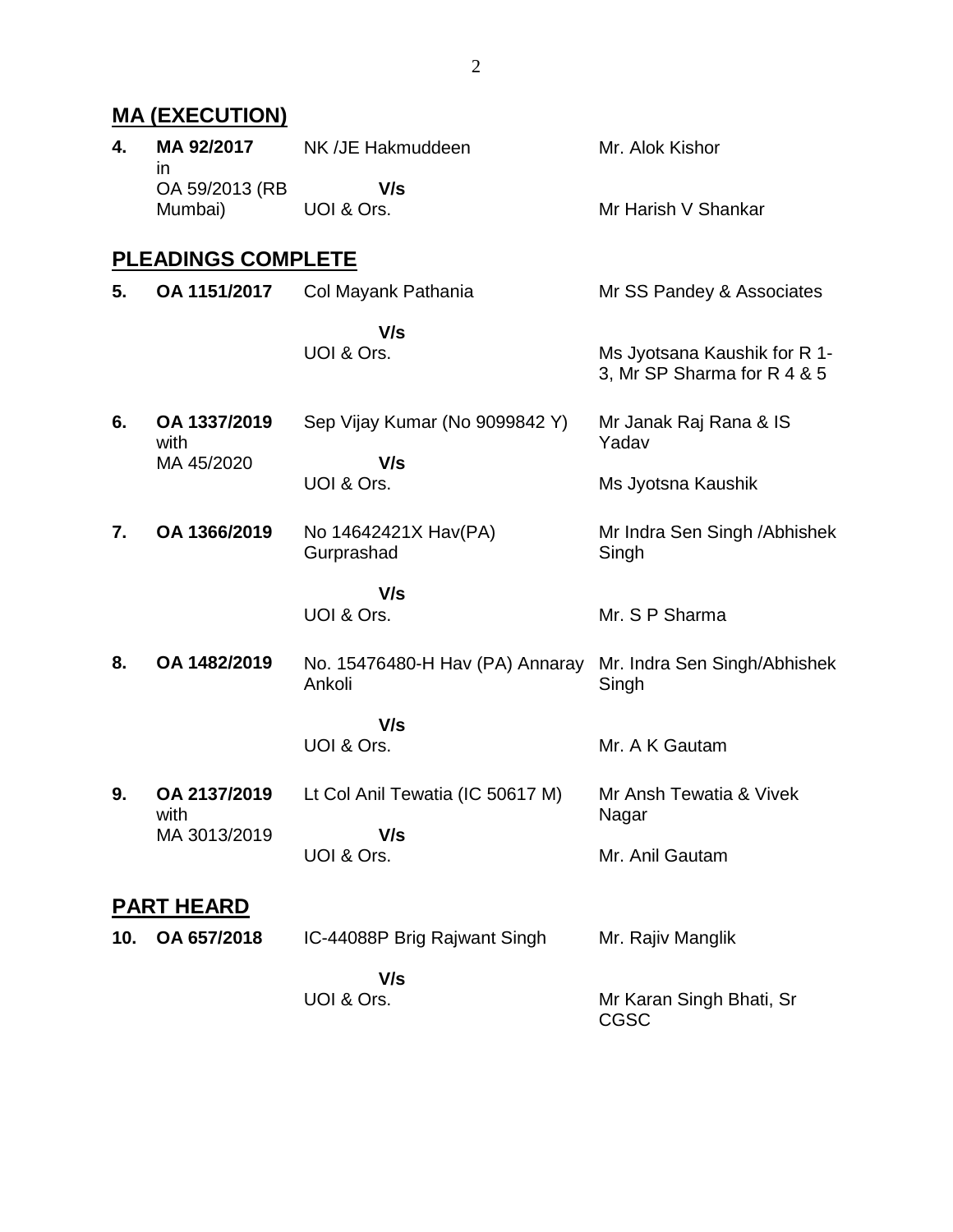|     | <b>MA (EXECUTION)</b>           |                                           |                                                             |
|-----|---------------------------------|-------------------------------------------|-------------------------------------------------------------|
| 4.  | MA 92/2017                      | NK /JE Hakmuddeen                         | Mr. Alok Kishor                                             |
|     | in<br>OA 59/2013 (RB<br>Mumbai) | V/s<br>UOI & Ors.                         | Mr Harish V Shankar                                         |
|     | <b>PLEADINGS COMPLETE</b>       |                                           |                                                             |
| 5.  | OA 1151/2017                    | Col Mayank Pathania                       | Mr SS Pandey & Associates                                   |
|     |                                 | V/s<br>UOI & Ors.                         | Ms Jyotsana Kaushik for R 1-<br>3, Mr SP Sharma for R 4 & 5 |
| 6.  | OA 1337/2019<br>with            | Sep Vijay Kumar (No 9099842 Y)            | Mr Janak Raj Rana & IS<br>Yadav                             |
|     | MA 45/2020                      | V/s<br>UOI & Ors.                         | Ms Jyotsna Kaushik                                          |
| 7.  | OA 1366/2019                    | No 14642421X Hav(PA)<br>Gurprashad        | Mr Indra Sen Singh / Abhishek<br>Singh                      |
|     |                                 | V/s<br>UOI & Ors.                         | Mr. S P Sharma                                              |
| 8.  | OA 1482/2019                    | No. 15476480-H Hav (PA) Annaray<br>Ankoli | Mr. Indra Sen Singh/Abhishek<br>Singh                       |
|     |                                 | V/s<br>UOI & Ors.                         | Mr. A K Gautam                                              |
| 9.  | OA 2137/2019<br>with            | Lt Col Anil Tewatia (IC 50617 M)          | Mr Ansh Tewatia & Vivek<br>Nagar                            |
|     | MA 3013/2019                    | V/s<br>UOI & Ors.                         | Mr. Anil Gautam                                             |
|     | <b>PART HEARD</b>               |                                           |                                                             |
| 10. | OA 657/2018                     | IC-44088P Brig Rajwant Singh              | Mr. Rajiv Manglik                                           |
|     |                                 | V/s<br>UOI & Ors.                         | Mr Karan Singh Bhati, Sr<br><b>CGSC</b>                     |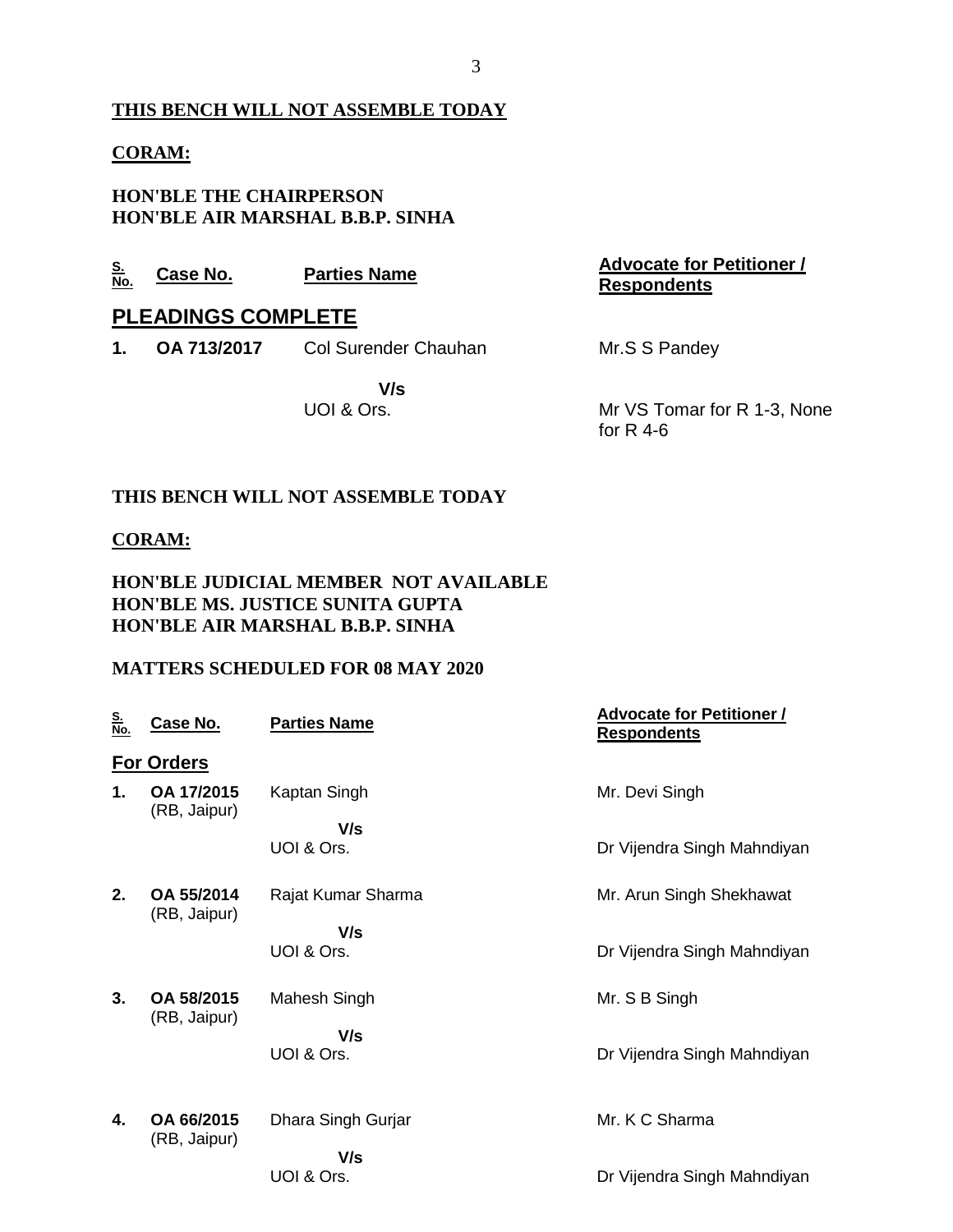## **THIS BENCH WILL NOT ASSEMBLE TODAY**

#### **CORAM:**

**HON'BLE THE CHAIRPERSON HON'BLE AIR MARSHAL B.B.P. SINHA**

| <u>S.</u><br>No. | Case No.                  | <b>Parties Name</b>         | <b>Advocate for Petitioner /</b><br><b>Respondents</b> |
|------------------|---------------------------|-----------------------------|--------------------------------------------------------|
|                  | <b>PLEADINGS COMPLETE</b> |                             |                                                        |
| 1.               | OA 713/2017               | <b>Col Surender Chauhan</b> | Mr.S S Pandey                                          |
|                  |                           | V/s<br>UOI & Ors.           | Mr VS Tomar for R 1-3, None<br>for $R$ 4-6             |

#### **THIS BENCH WILL NOT ASSEMBLE TODAY**

#### **CORAM:**

#### **HON'BLE JUDICIAL MEMBER NOT AVAILABLE HON'BLE MS. JUSTICE SUNITA GUPTA HON'BLE AIR MARSHAL B.B.P. SINHA**

### **MATTERS SCHEDULED FOR 08 MAY 2020**

| <u>S.</u><br><u>No.</u> | <u>Case No.</u>            | <b>Parties Name</b> | <b>Advocate for Petitioner /</b><br><b>Respondents</b> |
|-------------------------|----------------------------|---------------------|--------------------------------------------------------|
|                         | <b>For Orders</b>          |                     |                                                        |
| 1.                      | OA 17/2015<br>(RB, Jaipur) | Kaptan Singh        | Mr. Devi Singh                                         |
|                         |                            | V/s                 |                                                        |
|                         |                            | UOI & Ors.          | Dr Vijendra Singh Mahndiyan                            |
| 2.                      | OA 55/2014<br>(RB, Jaipur) | Rajat Kumar Sharma  | Mr. Arun Singh Shekhawat                               |
|                         |                            | V/s                 |                                                        |
|                         |                            | UOI & Ors.          | Dr Vijendra Singh Mahndiyan                            |
| 3.                      | OA 58/2015<br>(RB, Jaipur) | Mahesh Singh        | Mr. S B Singh                                          |
|                         |                            | V/s                 |                                                        |
|                         |                            | UOI & Ors.          | Dr Vijendra Singh Mahndiyan                            |
| 4.                      | OA 66/2015                 | Dhara Singh Gurjar  | Mr. K C Sharma                                         |
|                         | (RB, Jaipur)               | V/s                 |                                                        |
|                         |                            | UOI & Ors.          | Dr Vijendra Singh Mahndiyan                            |
|                         |                            |                     |                                                        |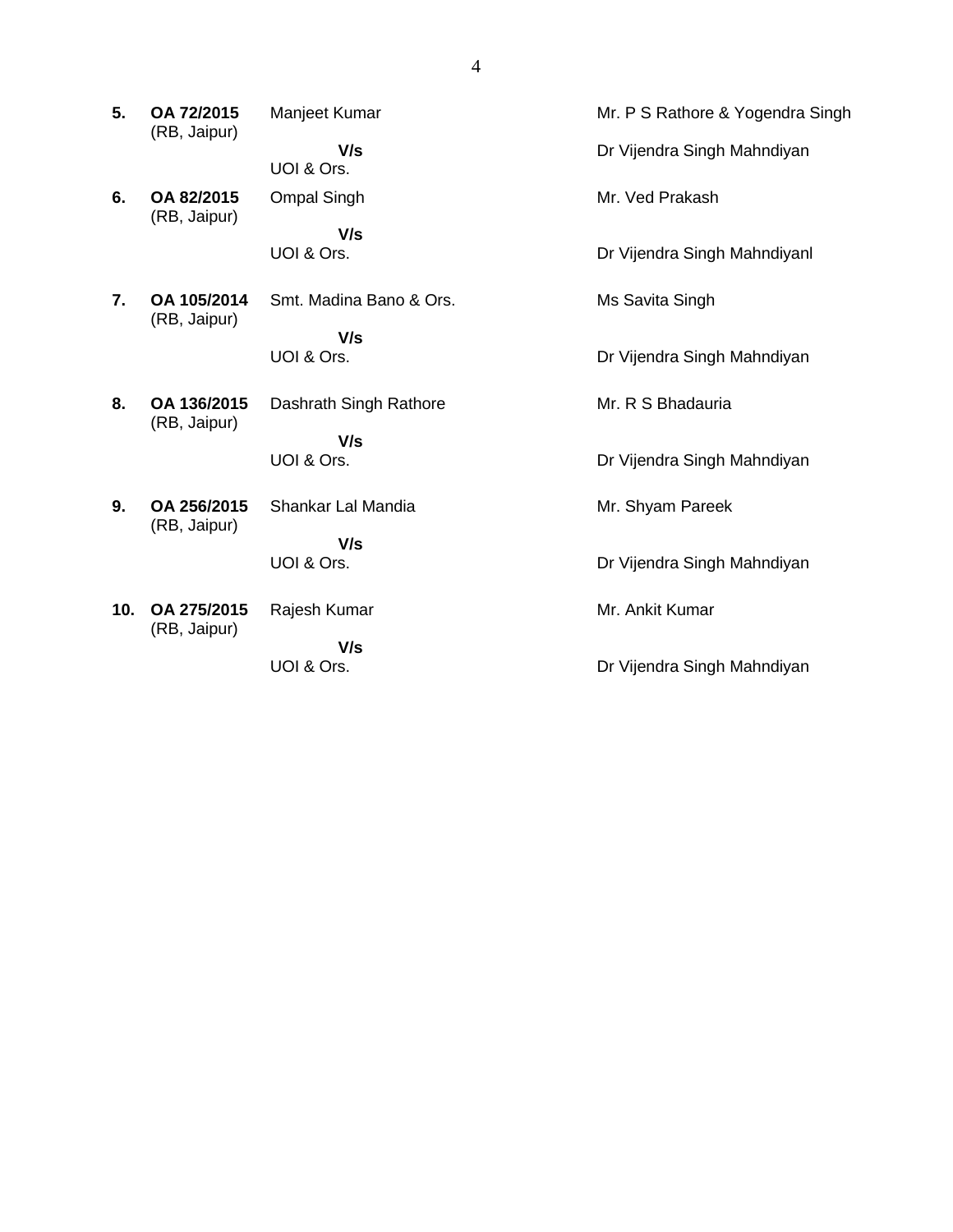| 5.               | OA 72/2015<br>(RB, Jaipur)  | Manjeet Kumar           | Mr. P S Rathore & Yogendra Singh |
|------------------|-----------------------------|-------------------------|----------------------------------|
|                  |                             | V/s<br>UOI & Ors.       | Dr Vijendra Singh Mahndiyan      |
| 6.               | OA 82/2015<br>(RB, Jaipur)  | <b>Ompal Singh</b>      | Mr. Ved Prakash                  |
|                  |                             | V/s<br>UOI & Ors.       | Dr Vijendra Singh Mahndiyanl     |
| $\overline{7}$ . | OA 105/2014                 | Smt. Madina Bano & Ors. | Ms Savita Singh                  |
|                  | (RB, Jaipur)                | V/s<br>UOI & Ors.       | Dr Vijendra Singh Mahndiyan      |
| 8.               | OA 136/2015<br>(RB, Jaipur) | Dashrath Singh Rathore  | Mr. R S Bhadauria                |
|                  |                             | V/s<br>UOI & Ors.       | Dr Vijendra Singh Mahndiyan      |
| 9.               | OA 256/2015                 | Shankar Lal Mandia      | Mr. Shyam Pareek                 |
|                  | (RB, Jaipur)                | V/s<br>UOI & Ors.       | Dr Vijendra Singh Mahndiyan      |
| 10.              | OA 275/2015<br>(RB, Jaipur) | Rajesh Kumar            | Mr. Ankit Kumar                  |
|                  |                             | V/s<br>UOI & Ors.       | Dr Vijendra Singh Mahndiyan      |
|                  |                             |                         |                                  |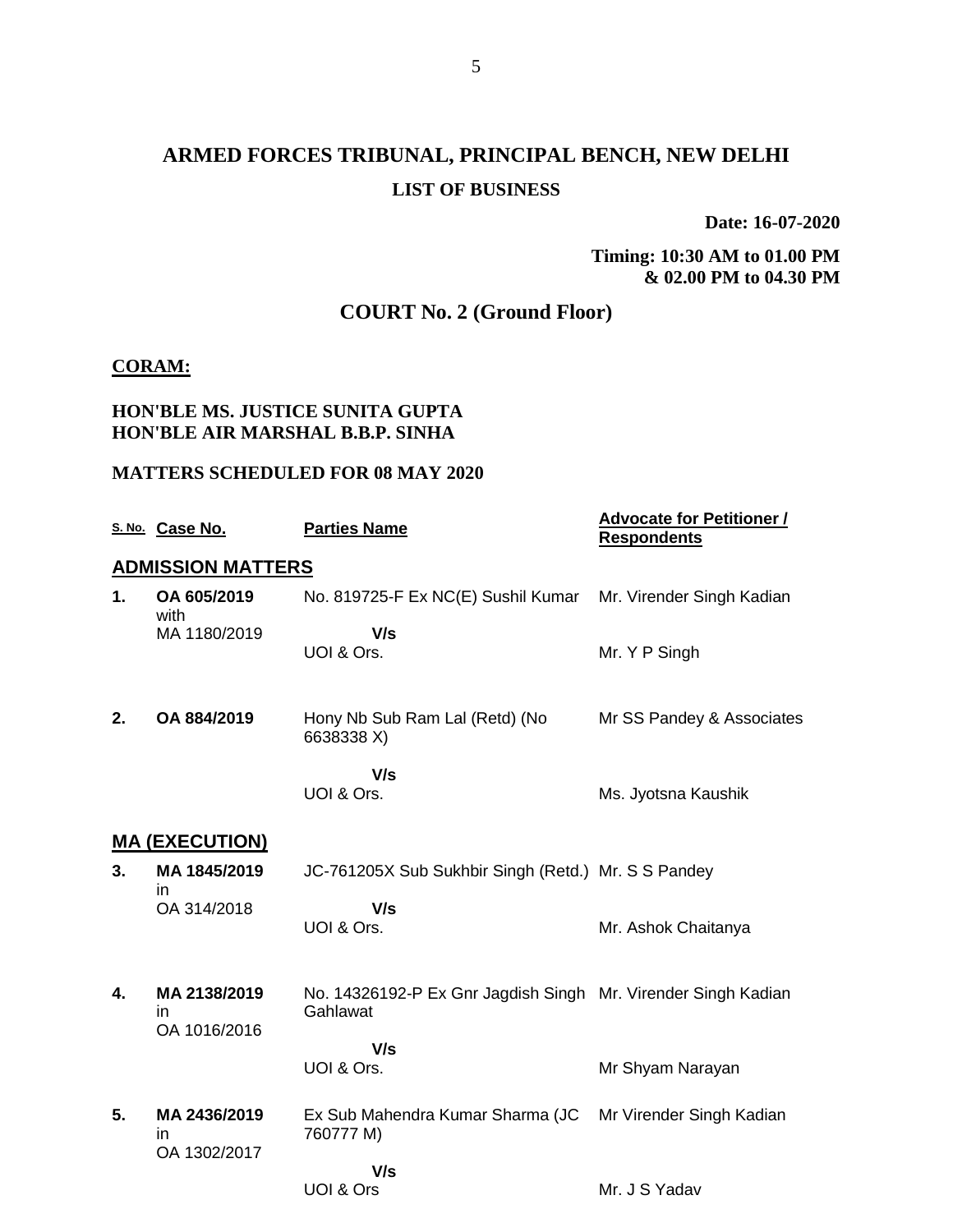# **ARMED FORCES TRIBUNAL, PRINCIPAL BENCH, NEW DELHI LIST OF BUSINESS**

**Date: 16-07-2020**

**Timing: 10:30 AM to 01.00 PM & 02.00 PM to 04.30 PM**

# **COURT No. 2 (Ground Floor)**

#### **CORAM:**

### **HON'BLE MS. JUSTICE SUNITA GUPTA HON'BLE AIR MARSHAL B.B.P. SINHA**

#### **MATTERS SCHEDULED FOR 08 MAY 2020**

|    | S. No. Case No.                    | <b>Parties Name</b>                                                       | <b>Advocate for Petitioner /</b><br><b>Respondents</b> |
|----|------------------------------------|---------------------------------------------------------------------------|--------------------------------------------------------|
|    | <b>ADMISSION MATTERS</b>           |                                                                           |                                                        |
| 1. | OA 605/2019<br>with                | No. 819725-F Ex NC(E) Sushil Kumar                                        | Mr. Virender Singh Kadian                              |
|    | MA 1180/2019                       | V/s<br>UOI & Ors.                                                         | Mr. Y P Singh                                          |
| 2. | OA 884/2019                        | Hony Nb Sub Ram Lal (Retd) (No<br>6638338 X)                              | Mr SS Pandey & Associates                              |
|    |                                    | V/s<br>UOI & Ors.                                                         | Ms. Jyotsna Kaushik                                    |
|    | <u>MA (EXECUTION)</u>              |                                                                           |                                                        |
| 3. | MA 1845/2019<br>ın                 | JC-761205X Sub Sukhbir Singh (Retd.) Mr. S S Pandey                       |                                                        |
|    | OA 314/2018                        | V/s<br>UOI & Ors.                                                         | Mr. Ashok Chaitanya                                    |
| 4. | MA 2138/2019<br>in<br>OA 1016/2016 | No. 14326192-P Ex Gnr Jagdish Singh Mr. Virender Singh Kadian<br>Gahlawat |                                                        |
|    |                                    | V/s<br>UOI & Ors.                                                         | Mr Shyam Narayan                                       |
| 5. | MA 2436/2019<br>in<br>OA 1302/2017 | Ex Sub Mahendra Kumar Sharma (JC<br>760777 M)                             | Mr Virender Singh Kadian                               |
|    |                                    | V/s<br>UOI & Ors                                                          | Mr. J S Yadav                                          |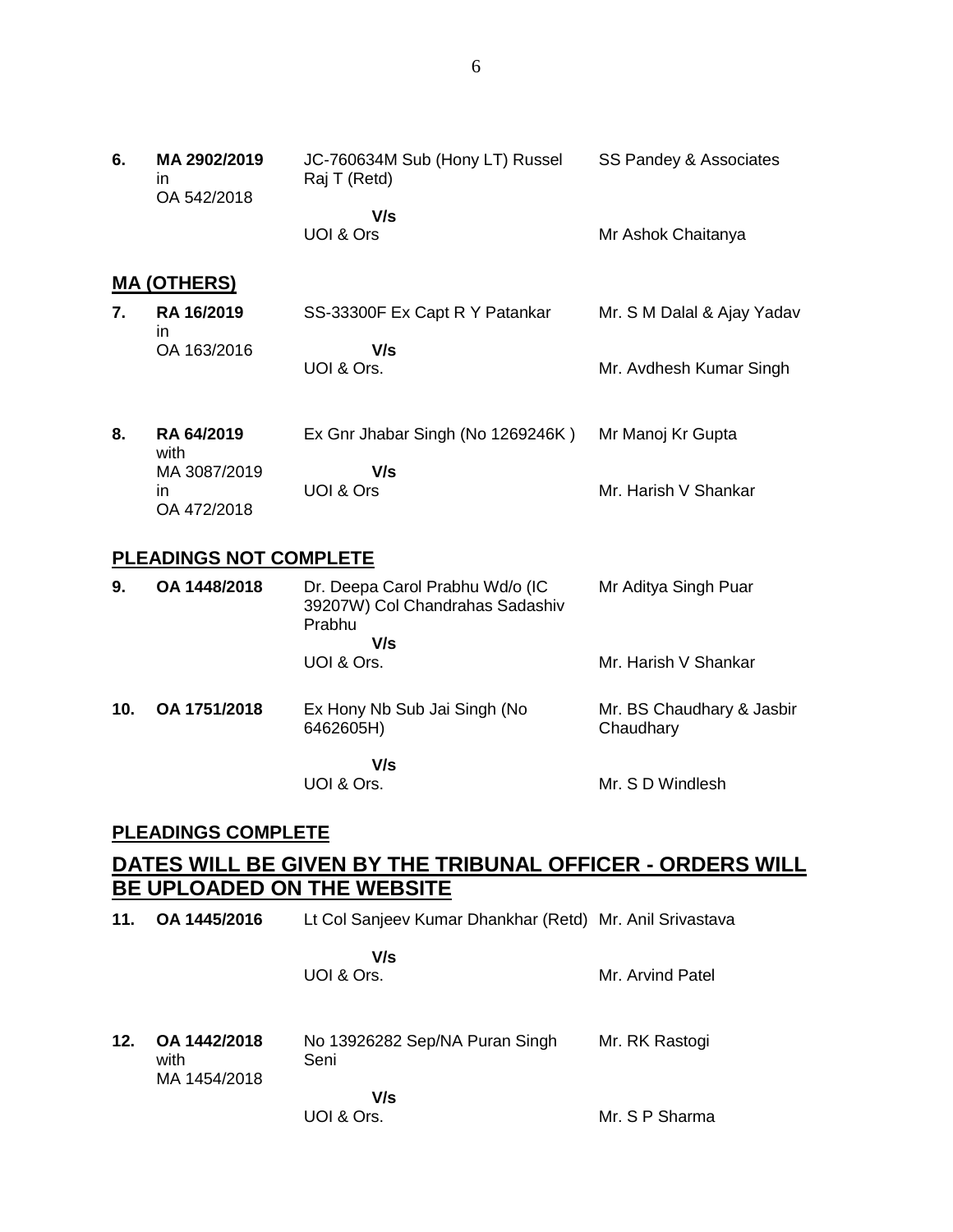| 6. | MA 2902/2019<br>$\mathsf{I}$<br>OA 542/2018 | JC-760634M Sub (Hony LT) Russel<br>Raj T (Retd) | SS Pandey & Associates     |
|----|---------------------------------------------|-------------------------------------------------|----------------------------|
|    |                                             | V/s                                             |                            |
|    |                                             | UOI & Ors                                       | Mr Ashok Chaitanya         |
|    | <b>MA (OTHERS)</b>                          |                                                 |                            |
| 7. | RA 16/2019<br>in.                           | SS-33300F Ex Capt R Y Patankar                  | Mr. S M Dalal & Ajay Yadav |
|    | OA 163/2016                                 | V/s                                             |                            |
|    |                                             | UOI & Ors.                                      | Mr. Avdhesh Kumar Singh    |
|    |                                             |                                                 |                            |
| 8. | <b>RA 64/2019</b><br>with                   | Ex Gnr Jhabar Singh (No 1269246K)               | Mr Manoj Kr Gupta          |
|    | MA 3087/2019                                | V/s                                             |                            |
|    | in.<br>OA 472/2018                          | UOI & Ors                                       | Mr. Harish V Shankar       |

### **PLEADINGS NOT COMPLETE**

| 9.              | OA 1448/2018 | Dr. Deepa Carol Prabhu Wd/o (IC<br>39207W) Col Chandrahas Sadashiv<br>Prabhu<br>V/s<br>UOI & Ors. | Mr Aditya Singh Puar<br>Mr. Harish V Shankar |
|-----------------|--------------|---------------------------------------------------------------------------------------------------|----------------------------------------------|
| 10 <sub>1</sub> | OA 1751/2018 | Ex Hony Nb Sub Jai Singh (No<br>6462605H)                                                         | Mr. BS Chaudhary & Jasbir<br>Chaudhary       |

 **V/s** UOI & Ors.

Mr. S D Windlesh

### **PLEADINGS COMPLETE**

## **DATES WILL BE GIVEN BY THE TRIBUNAL OFFICER - ORDERS WILL BE UPLOADED ON THE WEBSITE**

**11. OA 1445/2016** Lt Col Sanjeev Kumar Dhankhar (Retd) Mr. Anil Srivastava

 **V/s** UOI & Ors.

Mr. Arvind Patel

- **12. OA 1442/2018** with MA 1454/2018 No 13926282 Sep/NA Puran Singh Seni  **V/s** Mr. RK Rastogi Mr. S P Sharma
	- UOI & Ors.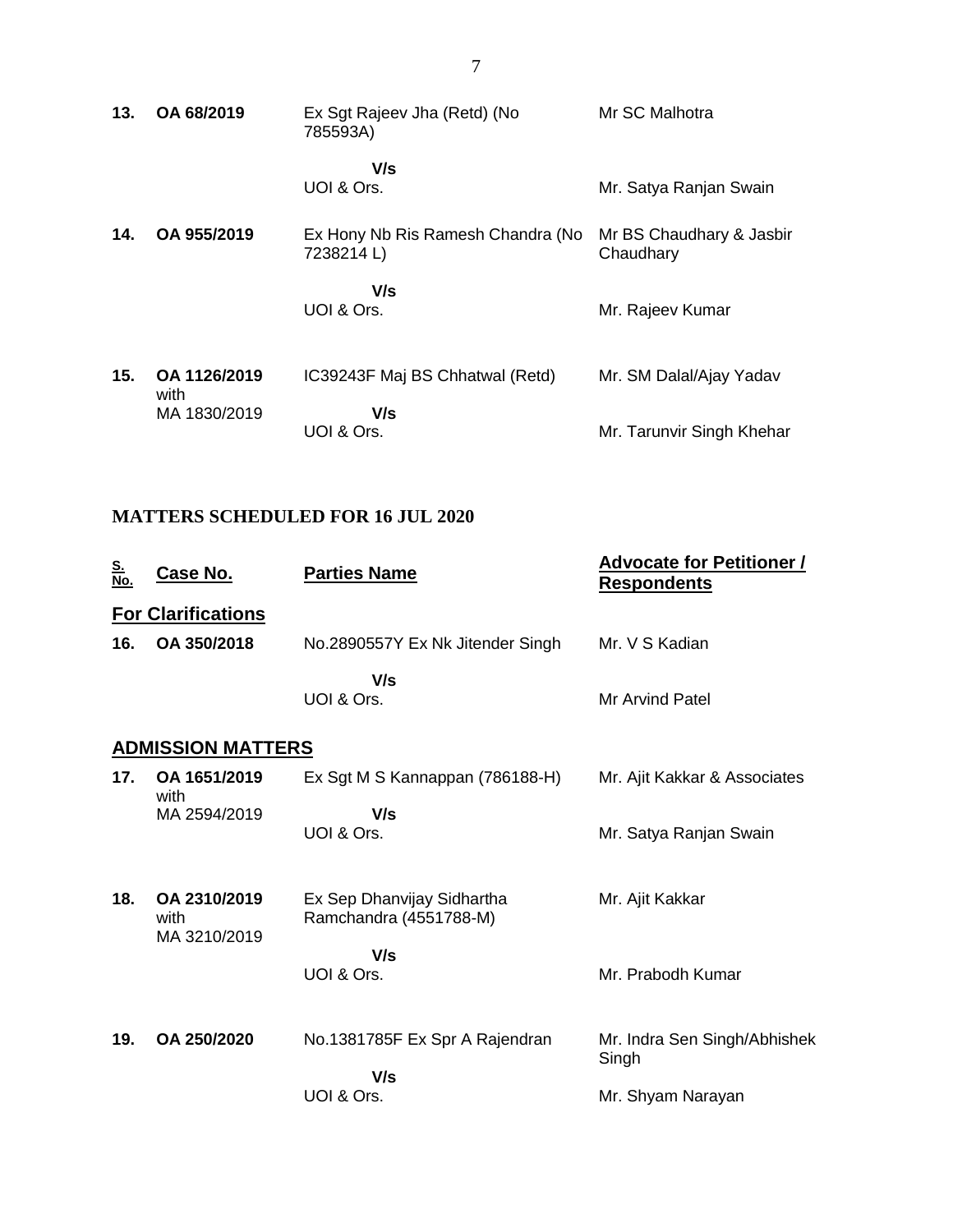| 13. | OA 68/2019           | Ex Sgt Rajeev Jha (Retd) (No<br>785593A)       | Mr SC Malhotra                        |
|-----|----------------------|------------------------------------------------|---------------------------------------|
|     |                      | V/s<br>UOI & Ors.                              | Mr. Satya Ranjan Swain                |
| 14. | OA 955/2019          | Ex Hony Nb Ris Ramesh Chandra (No<br>7238214L) | Mr BS Chaudhary & Jasbir<br>Chaudhary |
|     |                      | V/s<br>UOI & Ors.                              | Mr. Rajeev Kumar                      |
| 15. | OA 1126/2019<br>with | IC39243F Maj BS Chhatwal (Retd)                | Mr. SM Dalal/Ajay Yadav               |
|     | MA 1830/2019         | V/s<br>UOI & Ors.                              | Mr. Tarunvir Singh Khehar             |

# **MATTERS SCHEDULED FOR 16 JUL 2020**

| <u>S.<br/>No.</u> | Case No.                             | <b>Parties Name</b>                                  | <b>Advocate for Petitioner /</b><br><b>Respondents</b> |
|-------------------|--------------------------------------|------------------------------------------------------|--------------------------------------------------------|
|                   | <b>For Clarifications</b>            |                                                      |                                                        |
| 16.               | OA 350/2018                          | No.2890557Y Ex Nk Jitender Singh                     | Mr. V S Kadian                                         |
|                   |                                      | V/s<br>UOI & Ors.                                    | <b>Mr Arvind Patel</b>                                 |
|                   | <b>ADMISSION MATTERS</b>             |                                                      |                                                        |
| 17.               | OA 1651/2019<br>with                 | Ex Sgt M S Kannappan (786188-H)                      | Mr. Ajit Kakkar & Associates                           |
|                   | MA 2594/2019                         | V/s<br>UOI & Ors.                                    | Mr. Satya Ranjan Swain                                 |
| 18.               | OA 2310/2019<br>with<br>MA 3210/2019 | Ex Sep Dhanvijay Sidhartha<br>Ramchandra (4551788-M) | Mr. Ajit Kakkar                                        |
|                   |                                      | V/s<br>UOI & Ors.                                    | Mr. Prabodh Kumar                                      |
| 19.               | OA 250/2020                          | No.1381785F Ex Spr A Rajendran                       | Mr. Indra Sen Singh/Abhishek<br>Singh                  |
|                   |                                      | V/s<br>UOI & Ors.                                    | Mr. Shyam Narayan                                      |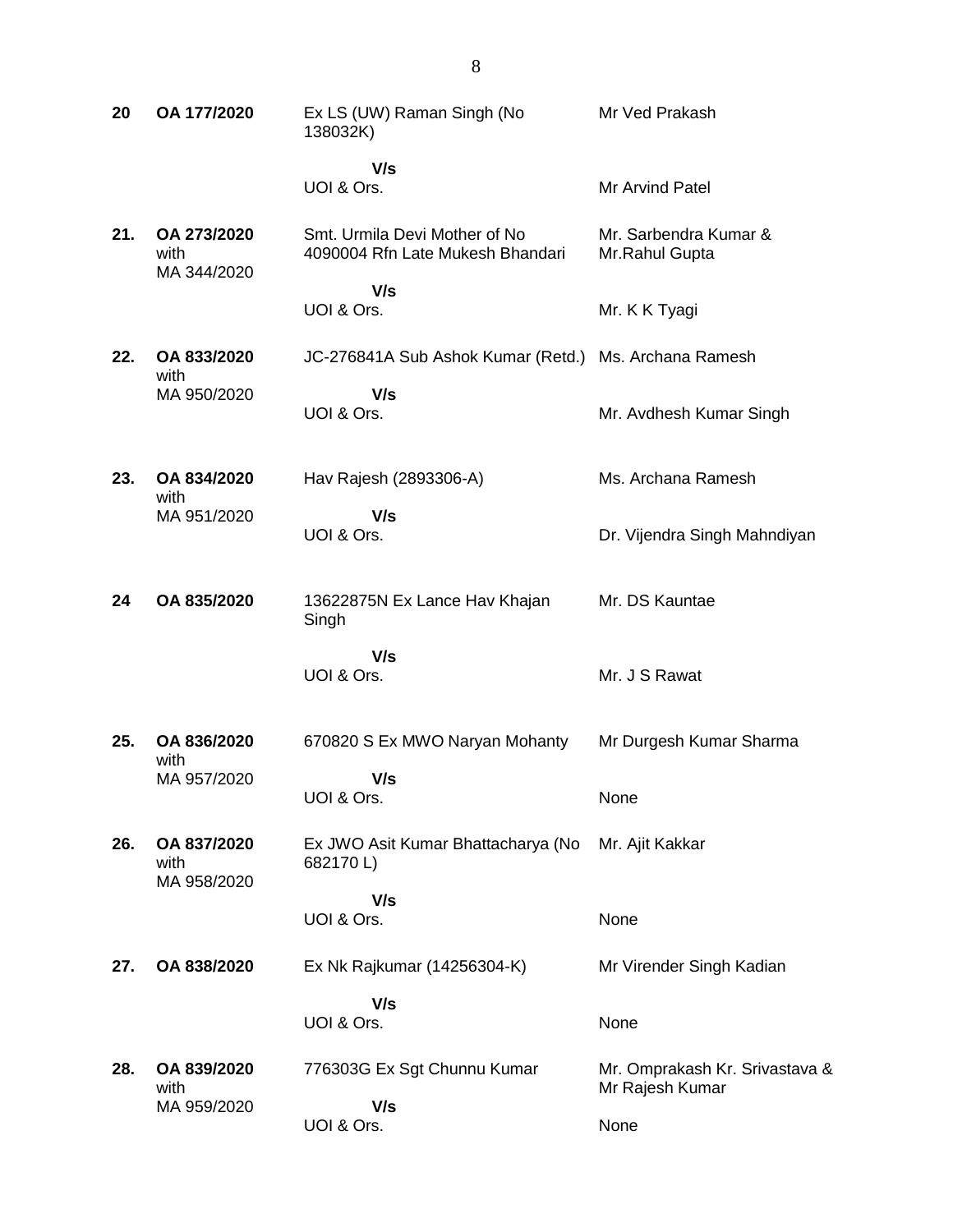**20 OA 177/2020** Ex LS (UW) Raman Singh (No 138032K)  **V/s** UOI & Ors. Mr Ved Prakash Mr Arvind Patel **21. OA 273/2020** with MA 344/2020 Smt. Urmila Devi Mother of No 4090004 Rfn Late Mukesh Bhandari  **V/s** UOI & Ors. Mr. Sarbendra Kumar & Mr.Rahul Gupta Mr. K K Tyagi **22. OA 833/2020** with MA 950/2020 JC-276841A Sub Ashok Kumar (Retd.) Ms. Archana Ramesh  **V/s** UOI & Ors. Mr. Avdhesh Kumar Singh **23. OA 834/2020** with MA 951/2020 Hav Rajesh (2893306-A)  **V/s** UOI & Ors. Ms. Archana Ramesh Dr. Vijendra Singh Mahndiyan **24 OA 835/2020** 13622875N Ex Lance Hav Khajan Singh  **V/s** UOI & Ors. Mr. DS Kauntae Mr. J S Rawat **25. OA 836/2020** with MA 957/2020 670820 S Ex MWO Naryan Mohanty  **V/s** UOI & Ors. Mr Durgesh Kumar Sharma None **26. OA 837/2020** with MA 958/2020 Ex JWO Asit Kumar Bhattacharya (No 682170 L)  **V/s** UOI & Ors. Mr. Ajit Kakkar None **27. OA 838/2020** Ex Nk Rajkumar (14256304-K)  **V/s** UOI & Ors. Mr Virender Singh Kadian None **28. OA 839/2020** with MA 959/2020 776303G Ex Sgt Chunnu Kumar  **V/s** UOI & Ors. Mr. Omprakash Kr. Srivastava & Mr Rajesh Kumar None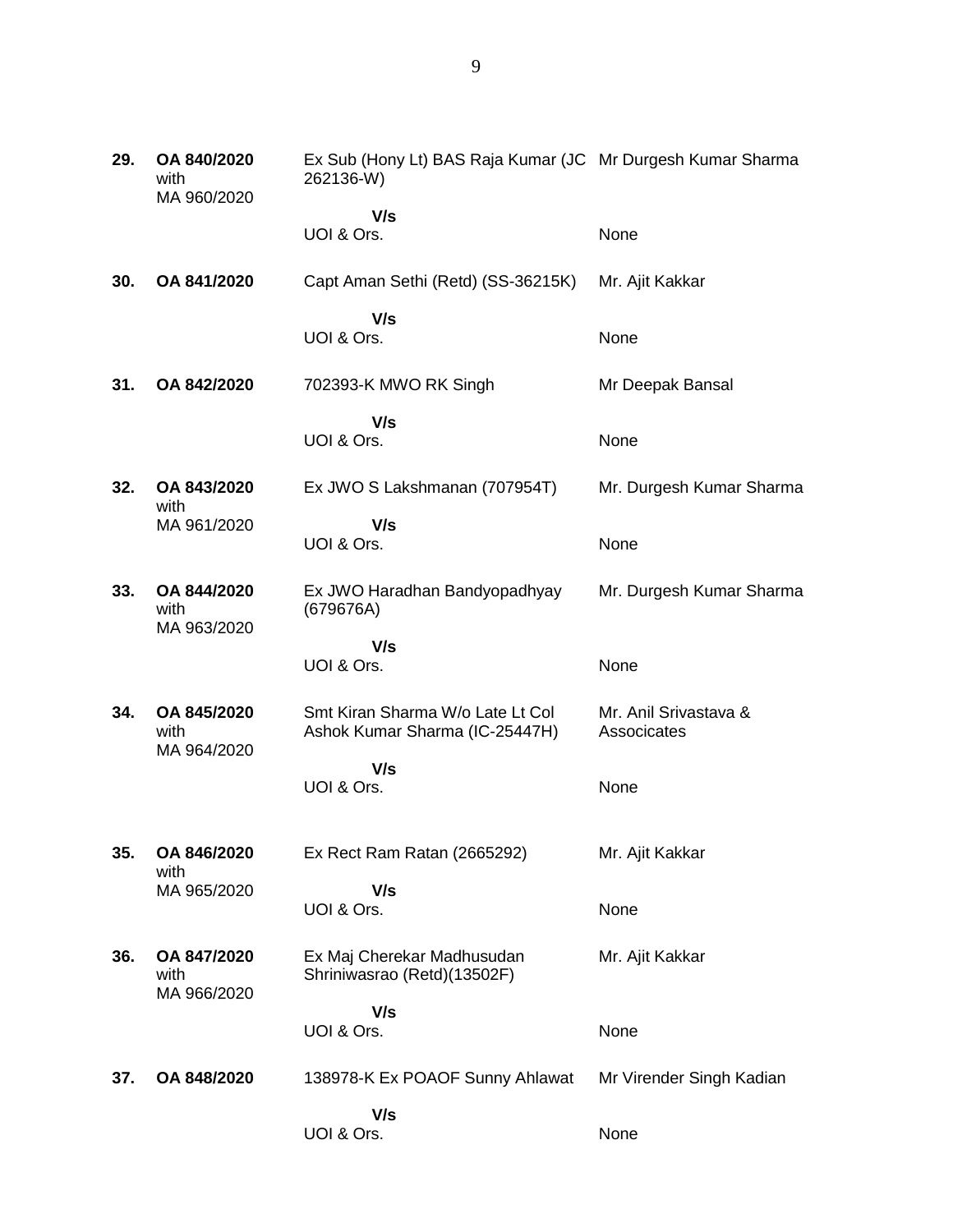| 29. | OA 840/2020<br>with<br>MA 960/2020 | Ex Sub (Hony Lt) BAS Raja Kumar (JC Mr Durgesh Kumar Sharma<br>262136-W) |                                      |
|-----|------------------------------------|--------------------------------------------------------------------------|--------------------------------------|
|     |                                    | V/s                                                                      |                                      |
|     |                                    | UOI & Ors.                                                               | None                                 |
| 30. | OA 841/2020                        | Capt Aman Sethi (Retd) (SS-36215K)                                       | Mr. Ajit Kakkar                      |
|     |                                    | V/s<br>UOI & Ors.                                                        | None                                 |
| 31. | OA 842/2020                        | 702393-K MWO RK Singh                                                    | Mr Deepak Bansal                     |
|     |                                    | V/s<br>UOI & Ors.                                                        | None                                 |
| 32. | OA 843/2020<br>with                | Ex JWO S Lakshmanan (707954T)                                            | Mr. Durgesh Kumar Sharma             |
|     | MA 961/2020                        | V/s<br>UOI & Ors.                                                        | None                                 |
| 33. | OA 844/2020<br>with<br>MA 963/2020 | Ex JWO Haradhan Bandyopadhyay<br>(679676A)                               | Mr. Durgesh Kumar Sharma             |
|     |                                    | V/s<br>UOI & Ors.                                                        | None                                 |
| 34. | OA 845/2020<br>with                | Smt Kiran Sharma W/o Late Lt Col<br>Ashok Kumar Sharma (IC-25447H)       | Mr. Anil Srivastava &<br>Associcates |
|     | MA 964/2020                        | V/s<br>UOI & Ors.                                                        | None                                 |
| 35. | OA 846/2020<br>with                | Ex Rect Ram Ratan (2665292)                                              | Mr. Ajit Kakkar                      |
|     | MA 965/2020                        | V/s<br>UOI & Ors.                                                        | None                                 |
| 36. | OA 847/2020<br>with<br>MA 966/2020 | Ex Maj Cherekar Madhusudan<br>Shriniwasrao (Retd)(13502F)                | Mr. Ajit Kakkar                      |
|     |                                    | V/s                                                                      |                                      |
|     |                                    | UOI & Ors.                                                               | None                                 |
| 37. | OA 848/2020                        | 138978-K Ex POAOF Sunny Ahlawat                                          | Mr Virender Singh Kadian             |
|     |                                    | V/s                                                                      |                                      |
|     |                                    | UOI & Ors.                                                               | None                                 |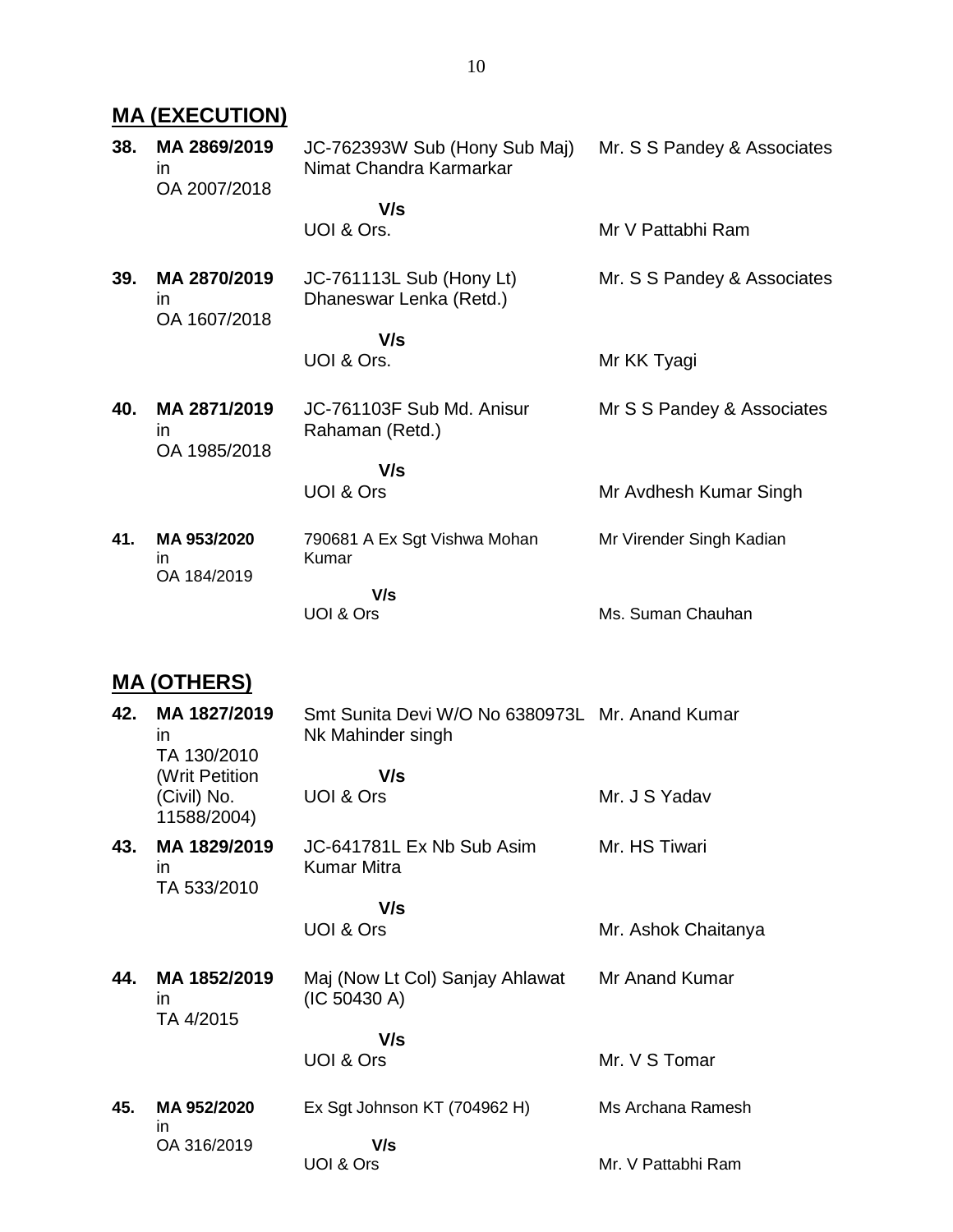# **MA (EXECUTION)**

| 38. | MA 2869/2019<br>in<br>OA 2007/2018           | JC-762393W Sub (Hony Sub Maj)<br>Nimat Chandra Karmarkar | Mr. S S Pandey & Associates |
|-----|----------------------------------------------|----------------------------------------------------------|-----------------------------|
|     |                                              | V/s<br>UOI & Ors.                                        | Mr V Pattabhi Ram           |
| 39. | MA 2870/2019<br><i>in</i><br>OA 1607/2018    | JC-761113L Sub (Hony Lt)<br>Dhaneswar Lenka (Retd.)      | Mr. S S Pandey & Associates |
|     |                                              | V/s<br>UOI & Ors.                                        | Mr KK Tyagi                 |
|     |                                              |                                                          |                             |
| 40. | MA 2871/2019<br>$\mathsf{I}$<br>OA 1985/2018 | JC-761103F Sub Md. Anisur<br>Rahaman (Retd.)             | Mr S S Pandey & Associates  |
|     |                                              | V/s                                                      |                             |
|     |                                              | UOI & Ors                                                | Mr Avdhesh Kumar Singh      |
| 41. | MA 953/2020<br>in.<br>OA 184/2019            | 790681 A Ex Sgt Vishwa Mohan<br>Kumar                    | Mr Virender Singh Kadian    |
|     |                                              | V/s<br>UOI & Ors                                         | Ms. Suman Chauhan           |
|     |                                              |                                                          |                             |

# **MA (OTHERS)**

| 42. | MA 1827/2019<br>in.<br>TA 130/2010<br>(Writ Petition<br>(Civil) No. | Smt Sunita Devi W/O No 6380973L Mr. Anand Kumar<br>Nk Mahinder singh<br>V/s<br>UOI & Ors | Mr. J S Yadav       |
|-----|---------------------------------------------------------------------|------------------------------------------------------------------------------------------|---------------------|
|     | 11588/2004)                                                         |                                                                                          |                     |
| 43. | MA 1829/2019<br>in.<br>TA 533/2010                                  | JC-641781L Ex Nb Sub Asim<br>Kumar Mitra                                                 | Mr. HS Tiwari       |
|     |                                                                     | V/s                                                                                      |                     |
|     |                                                                     | UOI & Ors                                                                                | Mr. Ashok Chaitanya |
| 44. | MA 1852/2019<br>in.<br>TA 4/2015                                    | Maj (Now Lt Col) Sanjay Ahlawat<br>(IC 50430 A)                                          | Mr Anand Kumar      |
|     |                                                                     | V/s                                                                                      |                     |
|     |                                                                     | UOI & Ors                                                                                | Mr. V S Tomar       |
| 45. | MA 952/2020<br>in.                                                  | Ex Sgt Johnson KT (704962 H)                                                             | Ms Archana Ramesh   |
|     | OA 316/2019                                                         | V/s<br>UOI & Ors                                                                         | Mr. V Pattabhi Ram  |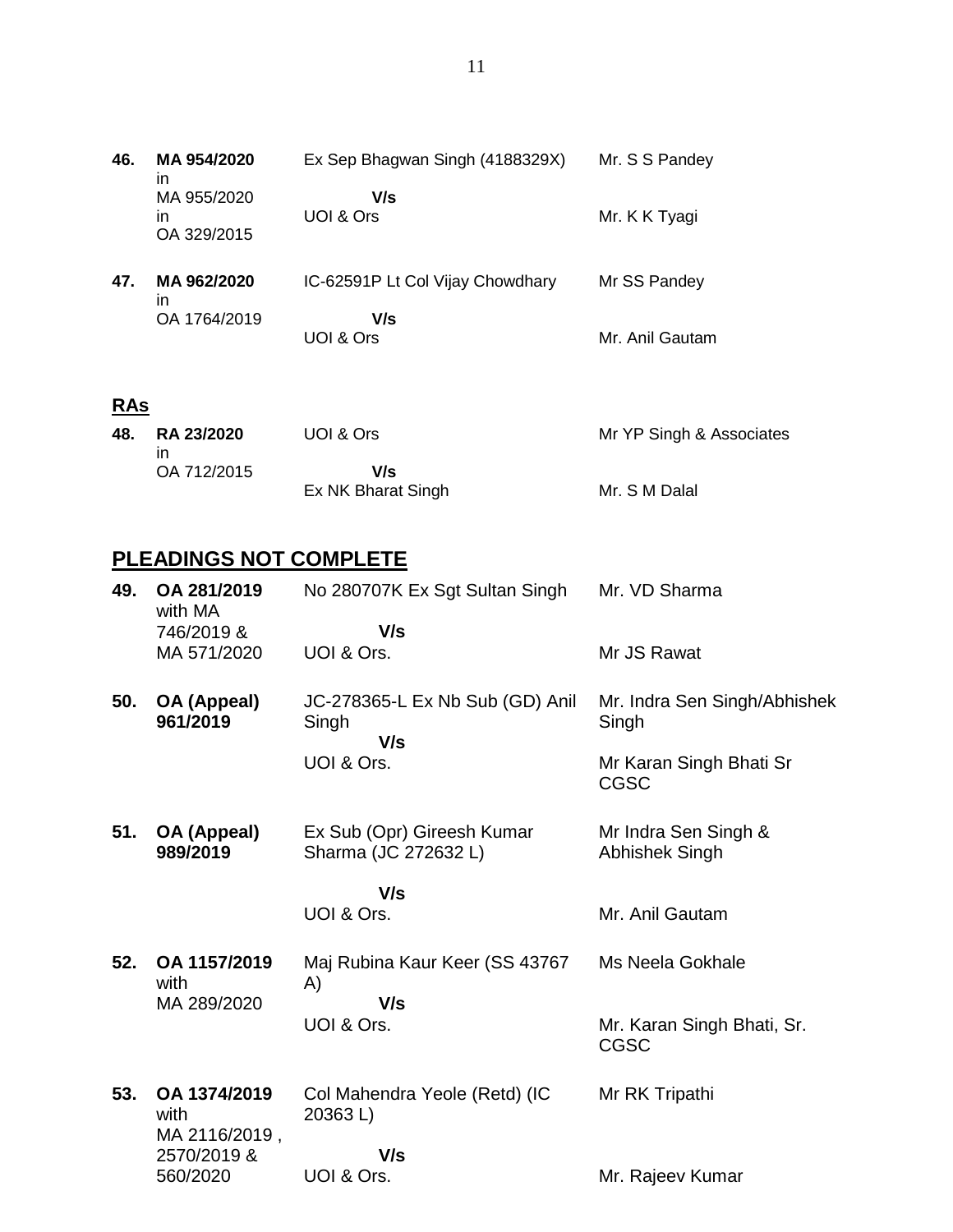**46. MA 954/2020** in MA 955/2020 in OA 329/2015 Ex Sep Bhagwan Singh (4188329X)  **V/s** UOI & Ors Mr. S S Pandey Mr. K K Tyagi **47. MA 962/2020** in OA 1764/2019 IC-62591P Lt Col Vijay Chowdhary  **V/s** UOI & Ors Mr SS Pandey Mr. Anil Gautam

## **RAs**

| 48. RA 23/2020 | UOI & Ors          | Mr YP Singh & Associates |
|----------------|--------------------|--------------------------|
|                |                    |                          |
| OA 712/2015    | V/s                |                          |
|                | Ex NK Bharat Singh | Mr. S M Dalal            |

# **PLEADINGS NOT COMPLETE**

| 49. | OA 281/2019<br>with MA                | No 280707K Ex Sgt Sultan Singh                     | Mr. VD Sharma                          |
|-----|---------------------------------------|----------------------------------------------------|----------------------------------------|
|     | 746/2019 &<br>MA 571/2020             | V/s<br>UOI & Ors.                                  | Mr JS Rawat                            |
|     |                                       |                                                    |                                        |
| 50. | OA (Appeal)<br>961/2019               | JC-278365-L Ex Nb Sub (GD) Anil<br>Singh<br>V/s    | Mr. Indra Sen Singh/Abhishek<br>Singh  |
|     |                                       | UOI & Ors.                                         | Mr Karan Singh Bhati Sr<br><b>CGSC</b> |
| 51. | OA (Appeal)<br>989/2019               | Ex Sub (Opr) Gireesh Kumar<br>Sharma (JC 272632 L) | Mr Indra Sen Singh &<br>Abhishek Singh |
|     |                                       | V/s                                                |                                        |
|     |                                       | UOI & Ors.                                         | Mr. Anil Gautam                        |
| 52. | OA 1157/2019<br>with                  | Maj Rubina Kaur Keer (SS 43767<br>A)               | Ms Neela Gokhale                       |
|     | MA 289/2020                           | V/s<br>UOI & Ors.                                  | Mr. Karan Singh Bhati, Sr.             |
|     |                                       |                                                    | <b>CGSC</b>                            |
| 53. | OA 1374/2019<br>with<br>MA 2116/2019, | Col Mahendra Yeole (Retd) (IC<br>20363L)           | Mr RK Tripathi                         |
|     | 2570/2019 &                           | V/s                                                |                                        |
|     | 560/2020                              | UOI & Ors.                                         | Mr. Rajeev Kumar                       |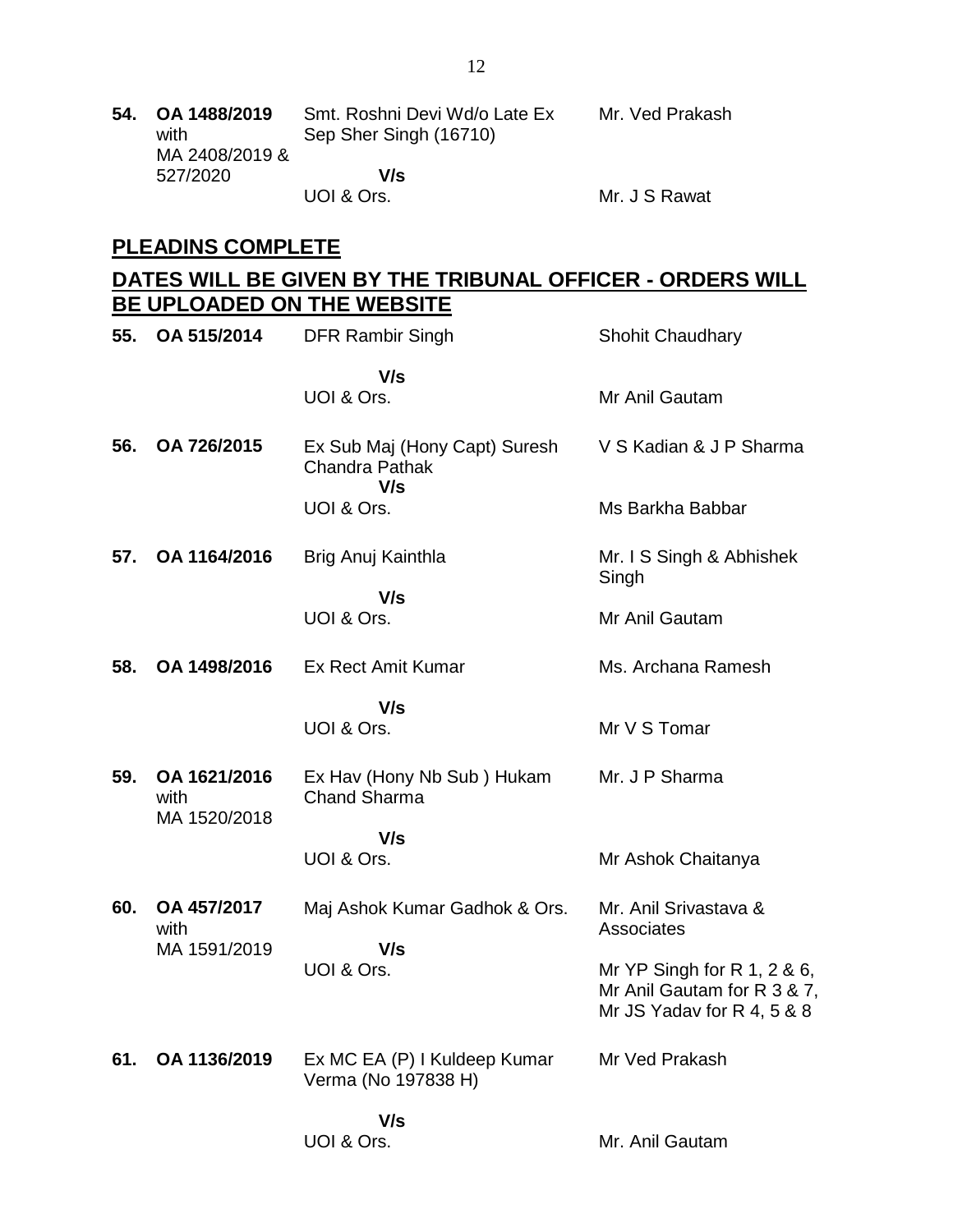|  | 54. OA 1488/2019<br>with | Smt. Roshni Devi Wd/o Late Ex<br>Sep Sher Singh (16710) | Mr. Ved Prakash |
|--|--------------------------|---------------------------------------------------------|-----------------|
|  | MA 2408/2019 &           |                                                         |                 |
|  | 527/2020                 | V/s                                                     |                 |
|  |                          | UOI & Ors.                                              | Mr. J S Rawat   |

## **PLEADINS COMPLETE**

## **DATES WILL BE GIVEN BY THE TRIBUNAL OFFICER - ORDERS WILL BE UPLOADED ON THE WEBSITE**

| 55. | OA 515/2014                          | <b>DFR Rambir Singh</b>                                       | <b>Shohit Chaudhary</b>                                                                  |
|-----|--------------------------------------|---------------------------------------------------------------|------------------------------------------------------------------------------------------|
|     |                                      | V/s<br>UOI & Ors.                                             | Mr Anil Gautam                                                                           |
| 56. | OA 726/2015                          | Ex Sub Maj (Hony Capt) Suresh<br><b>Chandra Pathak</b><br>V/s | V S Kadian & J P Sharma                                                                  |
|     |                                      | UOI & Ors.                                                    | Ms Barkha Babbar                                                                         |
| 57. | OA 1164/2016                         | Brig Anuj Kainthla                                            | Mr. I S Singh & Abhishek<br>Singh                                                        |
|     |                                      | V/s<br>UOI & Ors.                                             | Mr Anil Gautam                                                                           |
| 58. | OA 1498/2016                         | <b>Ex Rect Amit Kumar</b>                                     | Ms. Archana Ramesh                                                                       |
|     |                                      | V/s<br>UOI & Ors.                                             | Mr V S Tomar                                                                             |
| 59. | OA 1621/2016<br>with<br>MA 1520/2018 | Ex Hav (Hony Nb Sub) Hukam<br><b>Chand Sharma</b>             | Mr. J P Sharma                                                                           |
|     |                                      | V/s<br>UOI & Ors.                                             | Mr Ashok Chaitanya                                                                       |
| 60. | OA 457/2017<br>with                  | Maj Ashok Kumar Gadhok & Ors.                                 | Mr. Anil Srivastava &<br>Associates                                                      |
|     | MA 1591/2019                         | V/s<br>UOI & Ors.                                             | Mr YP Singh for R 1, 2 & 6,<br>Mr Anil Gautam for R 3 & 7,<br>Mr JS Yadav for R 4, 5 & 8 |
| 61. | OA 1136/2019                         | Ex MC EA (P) I Kuldeep Kumar<br>Verma (No 197838 H)           | Mr Ved Prakash                                                                           |
|     |                                      | V/s<br>UOI & Ors.                                             | Mr. Anil Gautam                                                                          |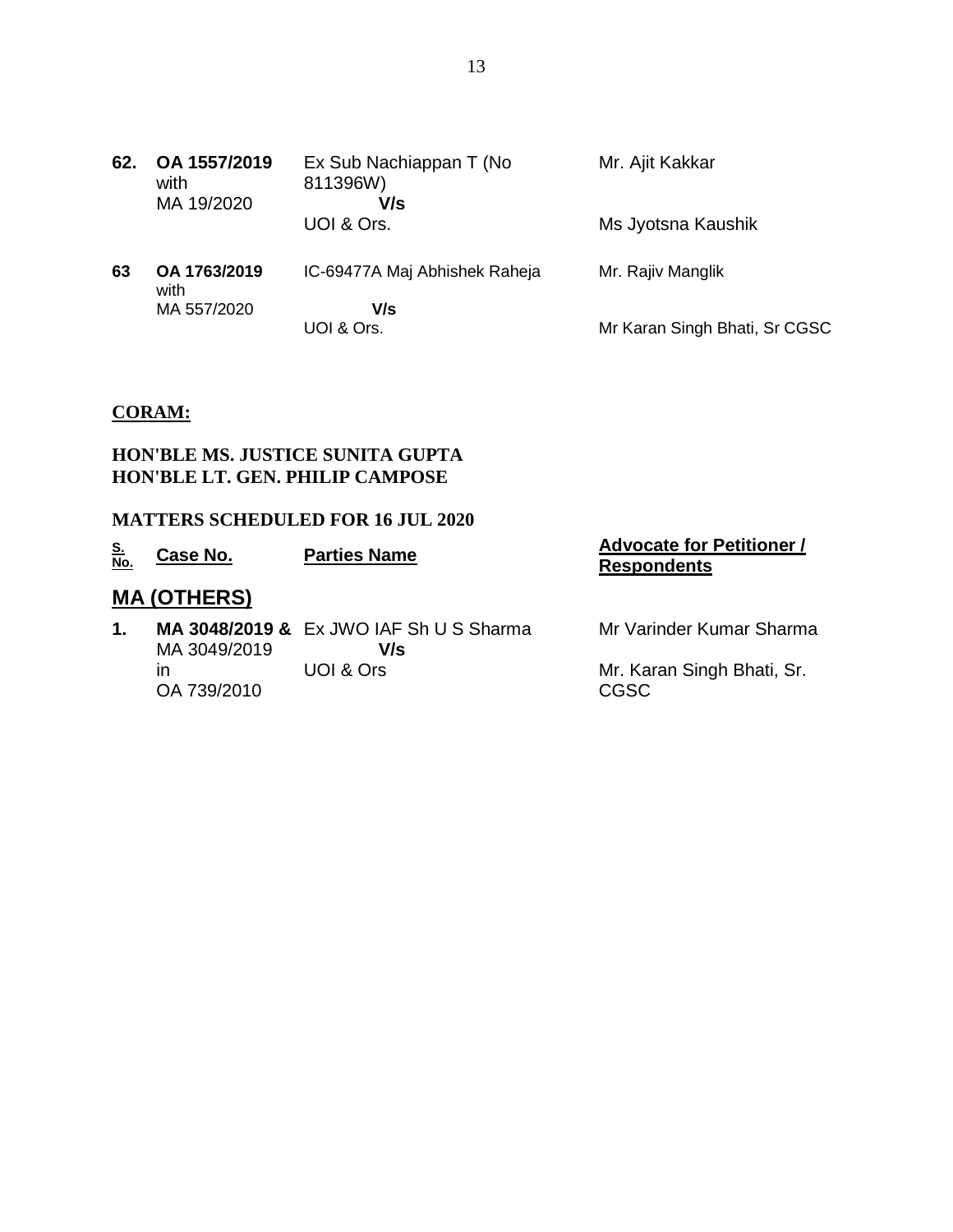**62. OA 1557/2019** with MA 19/2020 Ex Sub Nachiappan T (No 811396W)  **V/s** UOI & Ors. Mr. Ajit Kakkar Ms Jyotsna Kaushik **63 OA 1763/2019** with MA 557/2020 IC-69477A Maj Abhishek Raheja  **V/s** UOI & Ors. Mr. Rajiv Manglik Mr Karan Singh Bhati, Sr CGSC

### **CORAM:**

#### **HON'BLE MS. JUSTICE SUNITA GUPTA HON'BLE LT. GEN. PHILIP CAMPOSE**

#### **MATTERS SCHEDULED FOR 16 JUL 2020**

| <u>S.<br/>No.</u> | Case No.           | <b>Parties Name</b>                            | <b>Advocate for Petitioner /</b><br><b>Respondents</b> |
|-------------------|--------------------|------------------------------------------------|--------------------------------------------------------|
|                   | <b>MA (OTHERS)</b> |                                                |                                                        |
| 1.                | MA 3049/2019       | MA 3048/2019 & Ex JWO IAF Sh U S Sharma<br>V/s | Mr Varinder Kumar Sharma                               |
|                   | ın<br>OA 739/2010  | UOI & Ors                                      | Mr. Karan Singh Bhati, Sr.<br>CGSC                     |
|                   |                    |                                                |                                                        |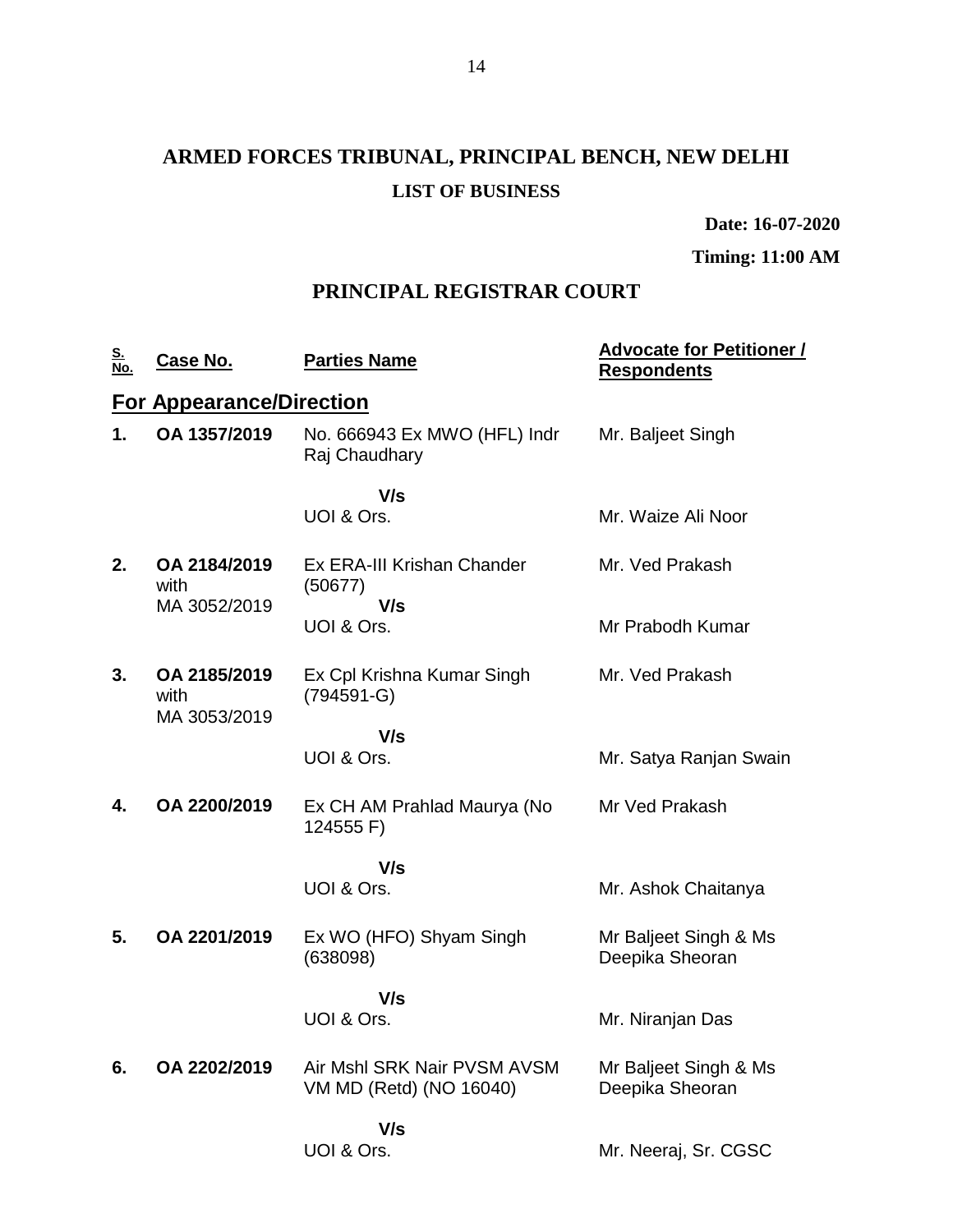# **ARMED FORCES TRIBUNAL, PRINCIPAL BENCH, NEW DELHI LIST OF BUSINESS**

**Date: 16-07-2020**

**Timing: 11:00 AM**

## **PRINCIPAL REGISTRAR COURT**

| <u>S.<br/>No.</u> | <u>Case No.</u>                      | <b>Parties Name</b>                                    | <b>Advocate for Petitioner /</b><br><b>Respondents</b> |
|-------------------|--------------------------------------|--------------------------------------------------------|--------------------------------------------------------|
|                   | <b>For Appearance/Direction</b>      |                                                        |                                                        |
| 1.                | OA 1357/2019                         | No. 666943 Ex MWO (HFL) Indr<br>Raj Chaudhary          | Mr. Baljeet Singh                                      |
|                   |                                      | V/s<br>UOI & Ors.                                      | Mr. Waize Ali Noor                                     |
| 2.                | OA 2184/2019<br>with                 | Ex ERA-III Krishan Chander<br>(50677)                  | Mr. Ved Prakash                                        |
|                   | MA 3052/2019                         | V/s<br>UOI & Ors.                                      | Mr Prabodh Kumar                                       |
| 3.                | OA 2185/2019<br>with<br>MA 3053/2019 | Ex Cpl Krishna Kumar Singh<br>$(794591 - G)$           | Mr. Ved Prakash                                        |
|                   |                                      | V/s<br>UOI & Ors.                                      | Mr. Satya Ranjan Swain                                 |
| 4.                | OA 2200/2019                         | Ex CH AM Prahlad Maurya (No<br>124555 F)               | Mr Ved Prakash                                         |
|                   |                                      | V/s                                                    |                                                        |
|                   |                                      | UOI & Ors.                                             | Mr. Ashok Chaitanya                                    |
| 5.                | OA 2201/2019                         | Ex WO (HFO) Shyam Singh<br>(638098)                    | Mr Baljeet Singh & Ms<br>Deepika Sheoran               |
|                   |                                      | V/s<br>UOI & Ors.                                      | Mr. Niranjan Das                                       |
| 6.                | OA 2202/2019                         | Air Mshl SRK Nair PVSM AVSM<br>VM MD (Retd) (NO 16040) | Mr Baljeet Singh & Ms<br>Deepika Sheoran               |
|                   |                                      | V/s<br>UOI & Ors.                                      | Mr. Neeraj, Sr. CGSC                                   |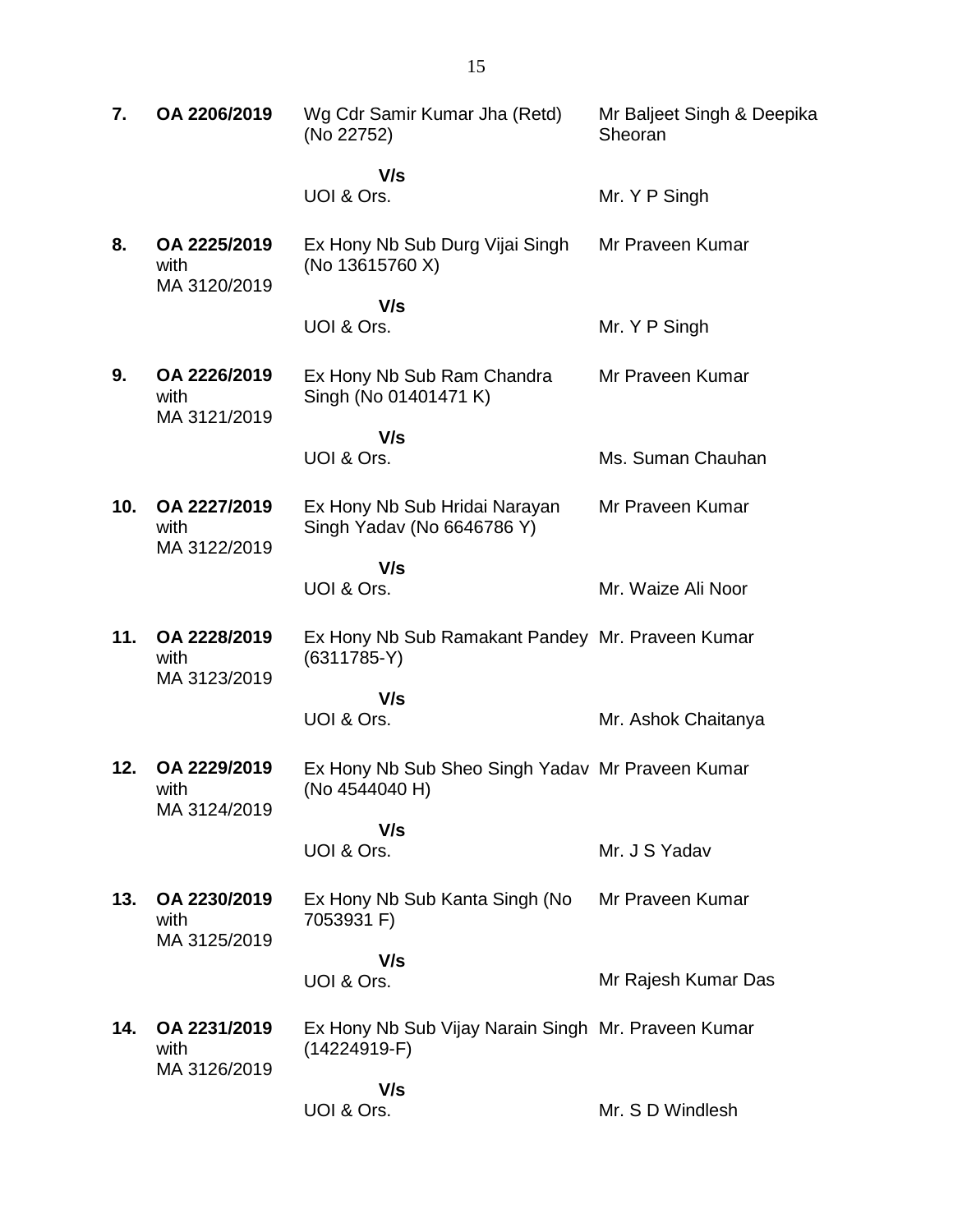| 7.  | OA 2206/2019                         | Wg Cdr Samir Kumar Jha (Retd)<br>(No 22752)                           | Mr Baljeet Singh & Deepika<br>Sheoran |
|-----|--------------------------------------|-----------------------------------------------------------------------|---------------------------------------|
|     |                                      | V/s                                                                   |                                       |
|     |                                      | UOI & Ors.                                                            | Mr. Y P Singh                         |
| 8.  | OA 2225/2019<br>with<br>MA 3120/2019 | Ex Hony Nb Sub Durg Vijai Singh<br>(No 13615760 X)                    | Mr Praveen Kumar                      |
|     |                                      | V/s<br>UOI & Ors.                                                     | Mr. Y P Singh                         |
| 9.  | OA 2226/2019<br>with<br>MA 3121/2019 | Ex Hony Nb Sub Ram Chandra<br>Singh (No 01401471 K)                   | Mr Praveen Kumar                      |
|     |                                      | V/s                                                                   |                                       |
|     |                                      | UOI & Ors.                                                            | Ms. Suman Chauhan                     |
| 10. | OA 2227/2019<br>with<br>MA 3122/2019 | Ex Hony Nb Sub Hridai Narayan<br>Singh Yadav (No 6646786 Y)           | Mr Praveen Kumar                      |
|     |                                      | V/s<br>UOI & Ors.                                                     | Mr. Waize Ali Noor                    |
| 11. | OA 2228/2019<br>with<br>MA 3123/2019 | Ex Hony Nb Sub Ramakant Pandey Mr. Praveen Kumar<br>$(6311785-Y)$     |                                       |
|     |                                      | V/s<br>UOI & Ors.                                                     | Mr. Ashok Chaitanya                   |
| 12. | OA 2229/2019<br>with<br>MA 3124/2019 | Ex Hony Nb Sub Sheo Singh Yadav Mr Praveen Kumar<br>(No 4544040 H)    |                                       |
|     |                                      | V/s<br>UOI & Ors.                                                     | Mr. J S Yadav                         |
| 13. | OA 2230/2019<br>with<br>MA 3125/2019 | Ex Hony Nb Sub Kanta Singh (No<br>7053931 F)                          | Mr Praveen Kumar                      |
|     |                                      | V/s<br>UOI & Ors.                                                     | Mr Rajesh Kumar Das                   |
| 14. | OA 2231/2019<br>with<br>MA 3126/2019 | Ex Hony Nb Sub Vijay Narain Singh Mr. Praveen Kumar<br>$(14224919-F)$ |                                       |
|     |                                      | V/s<br>UOI & Ors.                                                     | Mr. S D Windlesh                      |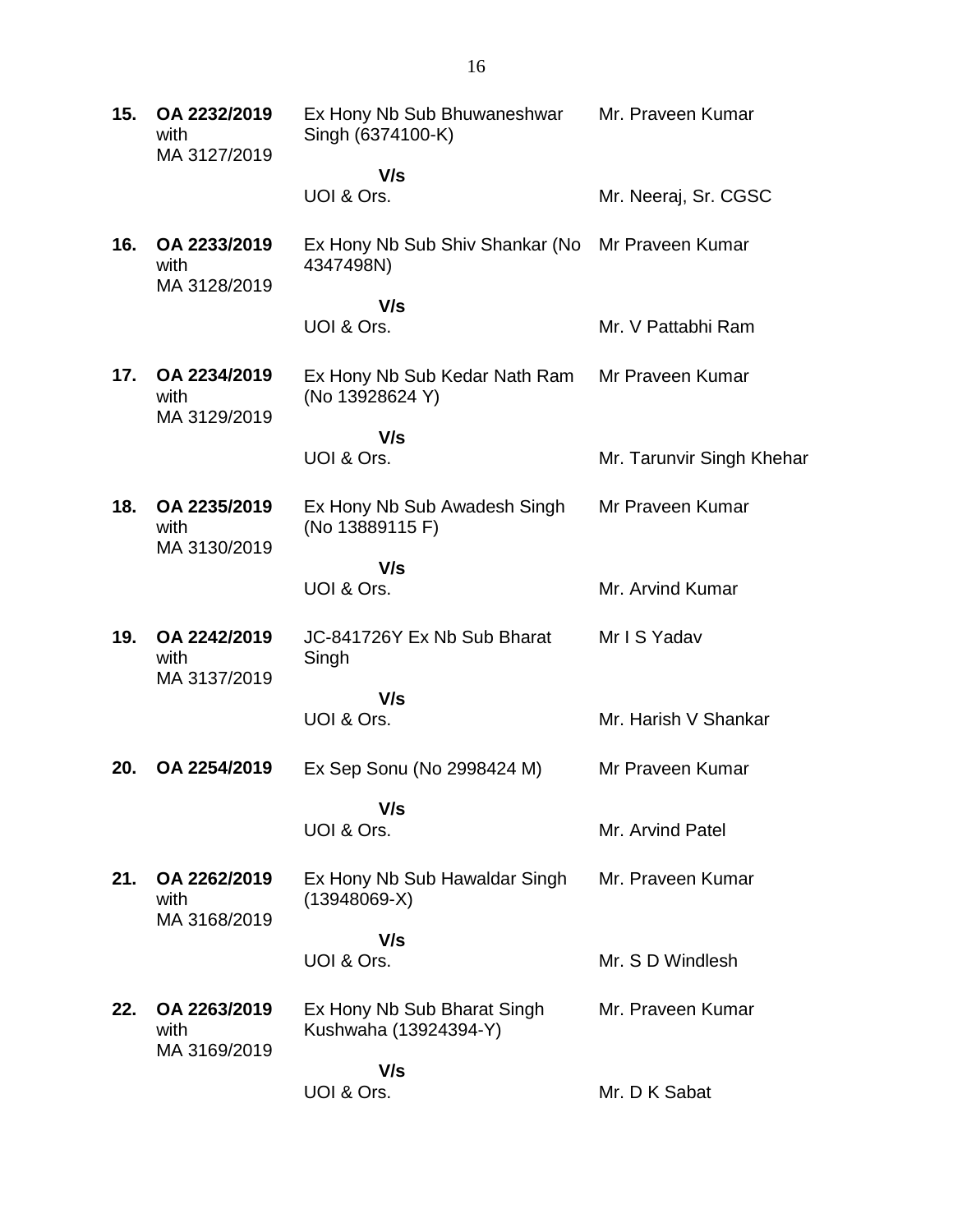**15. OA 2232/2019** with MA 3127/2019 Ex Hony Nb Sub Bhuwaneshwar Singh (6374100-K)  **V/s** UOI & Ors. Mr. Praveen Kumar Mr. Neeraj, Sr. CGSC **16. OA 2233/2019** with MA 3128/2019 Ex Hony Nb Sub Shiv Shankar (No Mr Praveen Kumar 4347498N)  **V/s** UOI & Ors. Mr. V Pattabhi Ram **17. OA 2234/2019** with MA 3129/2019 Ex Hony Nb Sub Kedar Nath Ram (No 13928624 Y)  **V/s** UOI & Ors. Mr Praveen Kumar Mr. Tarunvir Singh Khehar **18. OA 2235/2019** with MA 3130/2019 Ex Hony Nb Sub Awadesh Singh (No 13889115 F)  **V/s** UOI & Ors. Mr Praveen Kumar Mr. Arvind Kumar **19. OA 2242/2019** with MA 3137/2019 JC-841726Y Ex Nb Sub Bharat Singh  **V/s** UOI & Ors. Mr I S Yadav Mr. Harish V Shankar **20. OA 2254/2019** Ex Sep Sonu (No 2998424 M)  **V/s** UOI & Ors. Mr Praveen Kumar Mr. Arvind Patel **21. OA 2262/2019** with MA 3168/2019 Ex Hony Nb Sub Hawaldar Singh (13948069-X)  **V/s** UOI & Ors. Mr. Praveen Kumar Mr. S D Windlesh **22. OA 2263/2019** with MA 3169/2019 Ex Hony Nb Sub Bharat Singh Kushwaha (13924394-Y)  **V/s** UOI & Ors. Mr. Praveen Kumar Mr. D K Sabat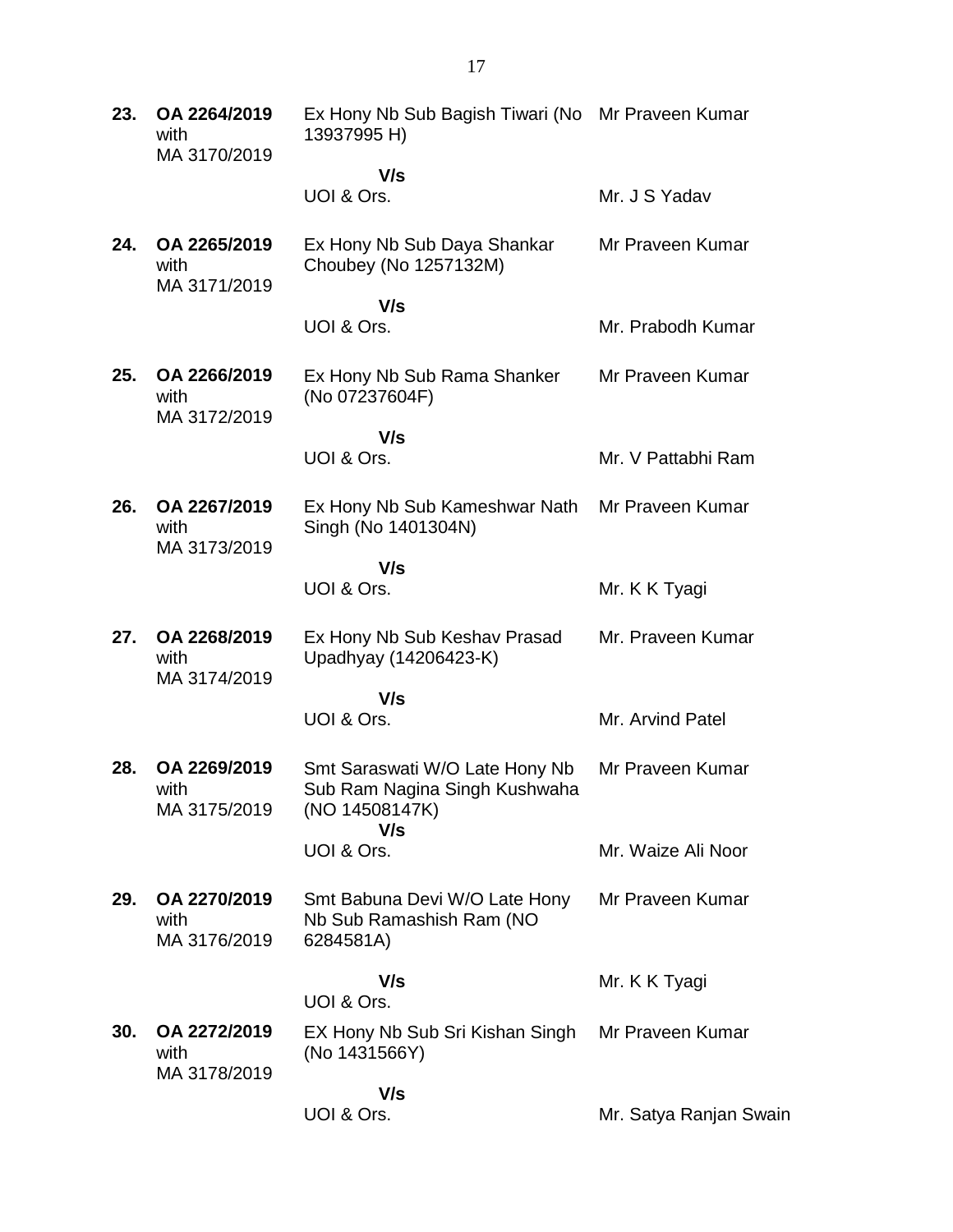| 23. | OA 2264/2019<br>with<br>MA 3170/2019 | Ex Hony Nb Sub Bagish Tiwari (No Mr Praveen Kumar<br>13937995 H)                  |                        |
|-----|--------------------------------------|-----------------------------------------------------------------------------------|------------------------|
|     |                                      | V/s<br>UOI & Ors.                                                                 | Mr. J S Yadav          |
| 24. | OA 2265/2019<br>with<br>MA 3171/2019 | Ex Hony Nb Sub Daya Shankar<br>Choubey (No 1257132M)                              | Mr Praveen Kumar       |
|     |                                      | V/s<br>UOI & Ors.                                                                 | Mr. Prabodh Kumar      |
| 25. | OA 2266/2019<br>with<br>MA 3172/2019 | Ex Hony Nb Sub Rama Shanker<br>(No 07237604F)                                     | Mr Praveen Kumar       |
|     |                                      | V/s                                                                               |                        |
|     |                                      | UOI & Ors.                                                                        | Mr. V Pattabhi Ram     |
| 26. | OA 2267/2019<br>with<br>MA 3173/2019 | Ex Hony Nb Sub Kameshwar Nath<br>Singh (No 1401304N)                              | Mr Praveen Kumar       |
|     |                                      | V/s<br>UOI & Ors.                                                                 | Mr. K K Tyagi          |
| 27. | OA 2268/2019<br>with<br>MA 3174/2019 | Ex Hony Nb Sub Keshav Prasad<br>Upadhyay (14206423-K)                             | Mr. Praveen Kumar      |
|     |                                      | V/s                                                                               |                        |
|     |                                      | UOI & Ors.                                                                        | Mr. Arvind Patel       |
| 28. | OA 2269/2019<br>with<br>MA 3175/2019 | Smt Saraswati W/O Late Hony Nb<br>Sub Ram Nagina Singh Kushwaha<br>(NO 14508147K) | Mr Praveen Kumar       |
|     |                                      | V/s<br>UOI & Ors.                                                                 | Mr. Waize Ali Noor     |
| 29. | OA 2270/2019<br>with<br>MA 3176/2019 | Smt Babuna Devi W/O Late Hony<br>Nb Sub Ramashish Ram (NO<br>6284581A)            | Mr Praveen Kumar       |
|     |                                      | V/s<br>UOI & Ors.                                                                 | Mr. K K Tyagi          |
| 30. | OA 2272/2019<br>with                 | EX Hony Nb Sub Sri Kishan Singh<br>(No 1431566Y)                                  | Mr Praveen Kumar       |
|     | MA 3178/2019                         | V/s<br>UOI & Ors.                                                                 | Mr. Satya Ranjan Swain |